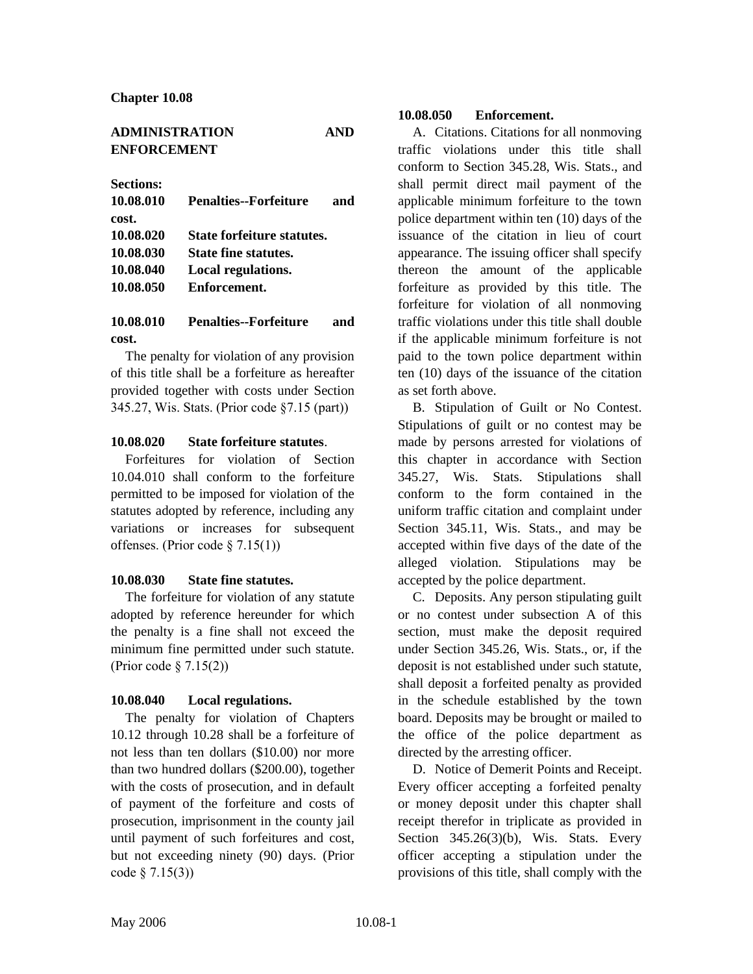| <b>ADMINISTRATION</b> | <b>AND</b> |
|-----------------------|------------|
| <b>ENFORCEMENT</b>    |            |

**Sections:**

| 10.08.010 | <b>Penalties--Forfeiture</b><br>and |
|-----------|-------------------------------------|
| cost.     |                                     |
| 10.08.020 | <b>State forfeiture statutes.</b>   |
| 10.08.030 | <b>State fine statutes.</b>         |
| 10.08.040 | Local regulations.                  |
| 10.08.050 | Enforcement.                        |

# **10.08.010 Penalties--Forfeiture and cost.**

The penalty for violation of any provision of this title shall be a forfeiture as hereafter provided together with costs under Section 345.27, Wis. Stats. (Prior code §7.15 (part))

### **10.08.020 State forfeiture statutes**.

Forfeitures for violation of Section 10.04.010 shall conform to the forfeiture permitted to be imposed for violation of the statutes adopted by reference, including any variations or increases for subsequent offenses. (Prior code § 7.15(1))

#### **10.08.030 State fine statutes.**

The forfeiture for violation of any statute adopted by reference hereunder for which the penalty is a fine shall not exceed the minimum fine permitted under such statute. (Prior code § 7.15(2))

#### **10.08.040 Local regulations.**

The penalty for violation of Chapters 10.12 through 10.28 shall be a forfeiture of not less than ten dollars (\$10.00) nor more than two hundred dollars (\$200.00), together with the costs of prosecution, and in default of payment of the forfeiture and costs of prosecution, imprisonment in the county jail until payment of such forfeitures and cost, but not exceeding ninety (90) days. (Prior code § 7.15(3))

## **10.08.050 Enforcement.**

A. Citations. Citations for all nonmoving traffic violations under this title shall conform to Section 345.28, Wis. Stats., and shall permit direct mail payment of the applicable minimum forfeiture to the town police department within ten (10) days of the issuance of the citation in lieu of court appearance. The issuing officer shall specify thereon the amount of the applicable forfeiture as provided by this title. The forfeiture for violation of all nonmoving traffic violations under this title shall double if the applicable minimum forfeiture is not paid to the town police department within ten (10) days of the issuance of the citation as set forth above.

B. Stipulation of Guilt or No Contest. Stipulations of guilt or no contest may be made by persons arrested for violations of this chapter in accordance with Section 345.27, Wis. Stats. Stipulations shall conform to the form contained in the uniform traffic citation and complaint under Section 345.11, Wis. Stats., and may be accepted within five days of the date of the alleged violation. Stipulations may be accepted by the police department.

C. Deposits. Any person stipulating guilt or no contest under subsection A of this section, must make the deposit required under Section 345.26, Wis. Stats., or, if the deposit is not established under such statute, shall deposit a forfeited penalty as provided in the schedule established by the town board. Deposits may be brought or mailed to the office of the police department as directed by the arresting officer.

D. Notice of Demerit Points and Receipt. Every officer accepting a forfeited penalty or money deposit under this chapter shall receipt therefor in triplicate as provided in Section 345.26(3)(b), Wis. Stats. Every officer accepting a stipulation under the provisions of this title, shall comply with the